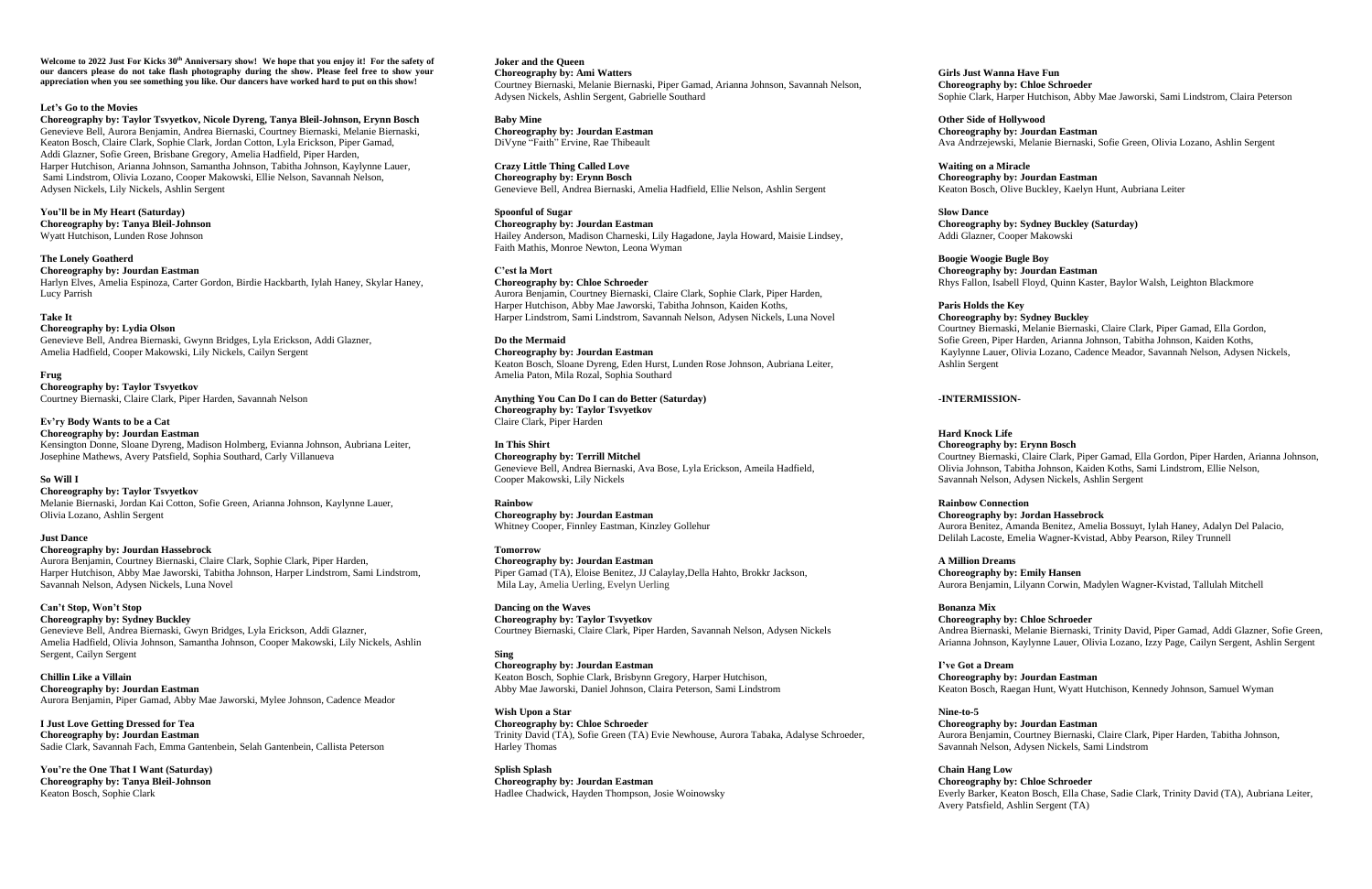Welcome to 2022 Just For Kicks 30<sup>th</sup> Anniversary show! We hope that you enjoy it! For the safety of **our dancers please do not take flash photography during the show. Please feel free to show your appreciation when you see something you like. Our dancers have worked hard to put on this show!**

### **Let's Go to the Movies**

**Choreography by: Taylor Tsvyetkov, Nicole Dyreng, Tanya Bleil-Johnson, Erynn Bosch** Genevieve Bell, Aurora Benjamin, Andrea Biernaski, Courtney Biernaski, Melanie Biernaski, Keaton Bosch, Claire Clark, Sophie Clark, Jordan Cotton, Lyla Erickson, Piper Gamad, Addi Glazner, Sofie Green, Brisbane Gregory, Amelia Hadfield, Piper Harden, Harper Hutchison, Arianna Johnson, Samantha Johnson, Tabitha Johnson, Kaylynne Lauer, Sami Lindstrom, Olivia Lozano, Cooper Makowski, Ellie Nelson, Savannah Nelson, Adysen Nickels, Lily Nickels, Ashlin Sergent

**You'll be in My Heart (Saturday) Choreography by: Tanya Bleil-Johnson** Wyatt Hutchison, Lunden Rose Johnson

**The Lonely Goatherd**

**Choreography by: Jourdan Eastman** Harlyn Elves, Amelia Espinoza, Carter Gordon, Birdie Hackbarth, Iylah Haney, Skylar Haney, Lucy Parrish

### **Take It**

**Choreography by: Lydia Olson** Genevieve Bell, Andrea Biernaski, Gwynn Bridges, Lyla Erickson, Addi Glazner, Amelia Hadfield, Cooper Makowski, Lily Nickels, Cailyn Sergent

**Frug Choreography by: Taylor Tsvyetkov** Courtney Biernaski, Claire Clark, Piper Harden, Savannah Nelson

**Ev'ry Body Wants to be a Cat Choreography by: Jourdan Eastman** Kensington Donne, Sloane Dyreng, Madison Holmberg, Evianna Johnson, Aubriana Leiter, Josephine Mathews, Avery Patsfield, Sophia Southard, Carly Villanueva

### **So Will I**

**Choreography by: Taylor Tsvyetkov** Melanie Biernaski, Jordan Kai Cotton, Sofie Green, Arianna Johnson, Kaylynne Lauer, Olivia Lozano, Ashlin Sergent

# **Just Dance**

**Choreography by: Jourdan Hassebrock**

Aurora Benjamin, Courtney Biernaski, Claire Clark, Sophie Clark, Piper Harden, Harper Hutchison, Abby Mae Jaworski, Tabitha Johnson, Harper Lindstrom, Sami Lindstrom, Savannah Nelson, Adysen Nickels, Luna Novel

# **Can't Stop, Won't Stop**

**Choreography by: Sydney Buckley** Genevieve Bell, Andrea Biernaski, Gwyn Bridges, Lyla Erickson, Addi Glazner, Amelia Hadfield, Olivia Johnson, Samantha Johnson, Cooper Makowski, Lily Nickels, Ashlin Sergent, Cailyn Sergent

**Chillin Like a Villain Choreography by: Jourdan Eastman** Aurora Benjamin, Piper Gamad, Abby Mae Jaworski, Mylee Johnson, Cadence Meador

**I Just Love Getting Dressed for Tea Choreography by: Jourdan Eastman** Sadie Clark, Savannah Fach, Emma Gantenbein, Selah Gantenbein, Callista Peterson

**You're the One That I Want (Saturday) Choreography by: Tanya Bleil-Johnson** Keaton Bosch, Sophie Clark

**Joker and the Queen Choreography by: Ami Watters** Courtney Biernaski, Melanie Biernaski, Piper Gamad, Arianna Johnson, Savannah Nelson, Adysen Nickels, Ashlin Sergent, Gabrielle Southard

**Baby Mine Choreography by: Jourdan Eastman** DiVyne "Faith" Ervine, Rae Thibeault

**Crazy Little Thing Called Love Choreography by: Erynn Bosch** Genevieve Bell, Andrea Biernaski, Amelia Hadfield, Ellie Nelson, Ashlin Sergent

**Spoonful of Sugar Choreography by: Jourdan Eastman** Hailey Anderson, Madison Charneski, Lily Hagadone, Jayla Howard, Maisie Lindsey, Faith Mathis, Monroe Newton, Leona Wyman

**C'est la Mort Choreography by: Chloe Schroeder** Aurora Benjamin, Courtney Biernaski, Claire Clark, Sophie Clark, Piper Harden, Harper Hutchison, Abby Mae Jaworski, Tabitha Johnson, Kaiden Koths, Harper Lindstrom, Sami Lindstrom, Savannah Nelson, Adysen Nickels, Luna Novel

**Do the Mermaid Choreography by: Jourdan Eastman** Keaton Bosch, Sloane Dyreng, Eden Hurst, Lunden Rose Johnson, Aubriana Leiter, Amelia Paton, Mila Rozal, Sophia Southard

**Anything You Can Do I can do Better (Saturday) Choreography by: Taylor Tsvyetkov** Claire Clark, Piper Harden

**In This Shirt Choreography by: Terrill Mitchel** Genevieve Bell, Andrea Biernaski, Ava Bose, Lyla Erickson, Ameila Hadfield, Cooper Makowski, Lily Nickels

**Rainbow Choreography by: Jourdan Eastman** Whitney Cooper, Finnley Eastman, Kinzley Gollehur

**Tomorrow Choreography by: Jourdan Eastman** Piper Gamad (TA), Eloise Benitez, JJ Calaylay,Della Hahto, Brokkr Jackson, Mila Lay, Amelia Uerling, Evelyn Uerling

**Dancing on the Waves Choreography by: Taylor Tsvyetkov** Courtney Biernaski, Claire Clark, Piper Harden, Savannah Nelson, Adysen Nickels

**Sing Choreography by: Jourdan Eastman** Keaton Bosch, Sophie Clark, Brisbynn Gregory, Harper Hutchison, Abby Mae Jaworski, Daniel Johnson, Claira Peterson, Sami Lindstrom

**Wish Upon a Star Choreography by: Chloe Schroeder** Trinity David (TA), Sofie Green (TA) Evie Newhouse, Aurora Tabaka, Adalyse Schroeder, Harley Thomas

**Splish Splash Choreography by: Jourdan Eastman** Hadlee Chadwick, Hayden Thompson, Josie Woinowsky **Girls Just Wanna Have Fun Choreography by: Chloe Schroeder** Sophie Clark, Harper Hutchison, Abby Mae Jaworski, Sami Lindstrom, Claira Peterson

**Other Side of Hollywood**

**Choreography by: Jourdan Eastman**

Ava Andrzejewski, Melanie Biernaski, Sofie Green, Olivia Lozano, Ashlin Sergent

**Waiting on a Miracle**

**Choreography by: Jourdan Eastman**

Keaton Bosch, Olive Buckley, Kaelyn Hunt, Aubriana Leiter

**Choreography by: Sydney Buckley (Saturday)**

**Slow Dance** Addi Glazner, Cooper Makowski

**Boogie Woogie Bugle Boy Choreography by: Jourdan Eastman** Rhys Fallon, Isabell Floyd, Quinn Kaster, Baylor Walsh, Leighton Blackmore

**Paris Holds the Key Choreography by: Sydney Buckley** Courtney Biernaski, Melanie Biernaski, Claire Clark, Piper Gamad, Ella Gordon, Sofie Green, Piper Harden, Arianna Johnson, Tabitha Johnson, Kaiden Koths, Kaylynne Lauer, Olivia Lozano, Cadence Meador, Savannah Nelson, Adysen Nickels, Ashlin Sergent

# **-INTERMISSION-**

**Hard Knock Life Choreography by: Erynn Bosch**

Courtney Biernaski, Claire Clark, Piper Gamad, Ella Gordon, Piper Harden, Arianna Johnson, Olivia Johnson, Tabitha Johnson, Kaiden Koths, Sami Lindstrom, Ellie Nelson, Savannah Nelson, Adysen Nickels, Ashlin Sergent

**Rainbow Connection**

# **Choreography by: Jordan Hassebrock**

Aurora Benitez, Amanda Benitez, Amelia Bossuyt, Iylah Haney, Adalyn Del Palacio, Delilah Lacoste, Emelia Wagner-Kvistad, Abby Pearson, Riley Trunnell

**A Million Dreams Choreography by: Emily Hansen**

Aurora Benjamin, Lilyann Corwin, Madylen Wagner-Kvistad, Tallulah Mitchell

**Bonanza Mix**

# **Choreography by: Chloe Schroeder**

Andrea Biernaski, Melanie Biernaski, Trinity David, Piper Gamad, Addi Glazner, Sofie Green, Arianna Johnson, Kaylynne Lauer, Olivia Lozano, Izzy Page, Cailyn Sergent, Ashlin Sergent

**I've Got a Dream**

# **Choreography by: Jourdan Eastman**

Keaton Bosch, Raegan Hunt, Wyatt Hutchison, Kennedy Johnson, Samuel Wyman

**Nine-to-5**

# **Choreography by: Jourdan Eastman**

Aurora Benjamin, Courtney Biernaski, Claire Clark, Piper Harden, Tabitha Johnson, Savannah Nelson, Adysen Nickels, Sami Lindstrom

**Chain Hang Low**

# **Choreography by: Chloe Schroeder**

Everly Barker, Keaton Bosch, Ella Chase, Sadie Clark, Trinity David (TA), Aubriana Leiter, Avery Patsfield, Ashlin Sergent (TA)